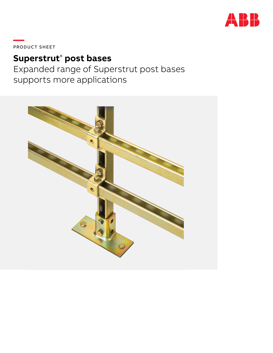

PRODUCT SHEET

# **Superstrut**®  **post bases**

Expanded range of Superstrut post bases supports more applications